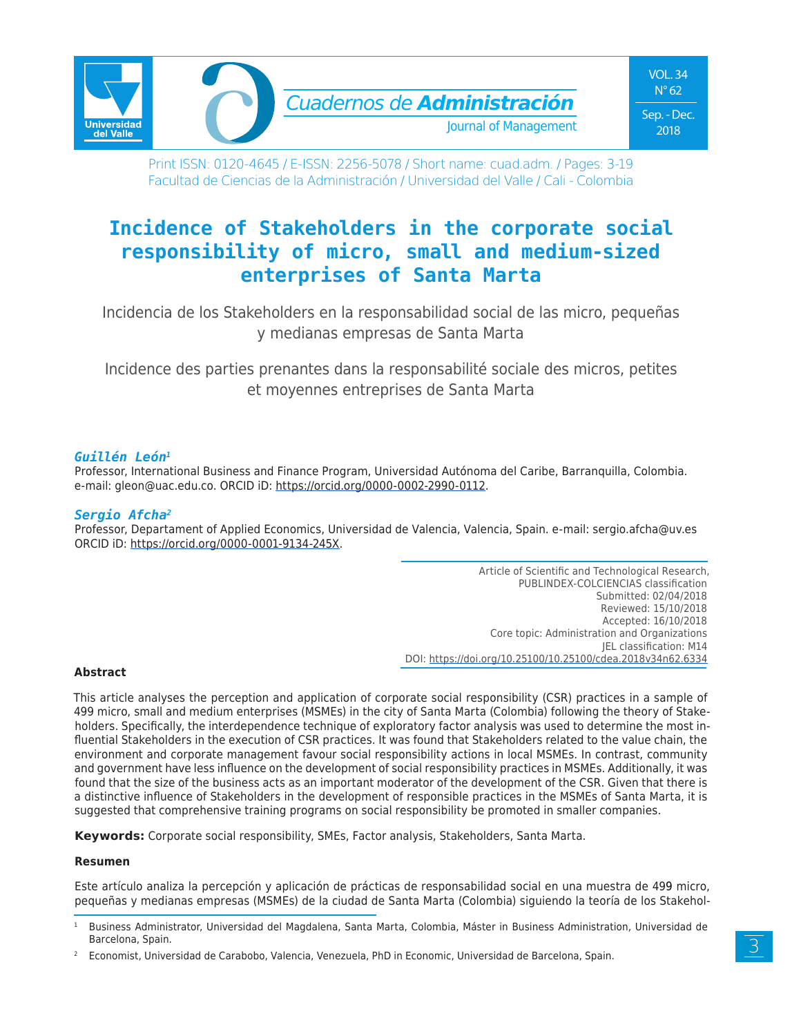

Print ISSN: 0120-4645 / E-ISSN: 2256-5078 / Short name: cuad.adm. / Pages: 3-19 Facultad de Ciencias de la Administración / Universidad del Valle / Cali - Colombia

# **Incidence of Stakeholders in the corporate social responsibility of micro, small and medium-sized enterprises of Santa Marta**

Incidencia de los Stakeholders en la responsabilidad social de las micro, pequeñas y medianas empresas de Santa Marta

Incidence des parties prenantes dans la responsabilité sociale des micros, petites et moyennes entreprises de Santa Marta

### *Guillén León1*

Professor, International Business and Finance Program, Universidad Autónoma del Caribe, Barranquilla, Colombia. e-mail: gleon@uac.edu.co. ORCID iD: https://orcid.org/0000-0002-2990-0112.

### *Sergio Afcha2*

Professor, Departament of Applied Economics, Universidad de Valencia, Valencia, Spain. e-mail: sergio.afcha@uv.es ORCID iD: https://orcid.org/0000-0001-9134-245X.

> Article of Scientific and Technological Research, PUBLINDEX-COLCIENCIAS classification Submitted: 02/04/2018 Reviewed: 15/10/2018 Accepted: 16/10/2018 Core topic: Administration and Organizations JEL classification: M14 DOI: https://doi.org/10.25100/10.25100/cdea.2018v34n62.6334

#### **Abstract**

This article analyses the perception and application of corporate social responsibility (CSR) practices in a sample of 499 micro, small and medium enterprises (MSMEs) in the city of Santa Marta (Colombia) following the theory of Stakeholders. Specifically, the interdependence technique of exploratory factor analysis was used to determine the most influential Stakeholders in the execution of CSR practices. It was found that Stakeholders related to the value chain, the environment and corporate management favour social responsibility actions in local MSMEs. In contrast, community and government have less influence on the development of social responsibility practices in MSMEs. Additionally, it was found that the size of the business acts as an important moderator of the development of the CSR. Given that there is a distinctive influence of Stakeholders in the development of responsible practices in the MSMEs of Santa Marta, it is suggested that comprehensive training programs on social responsibility be promoted in smaller companies.

**Keywords:** Corporate social responsibility, SMEs, Factor analysis, Stakeholders, Santa Marta.

#### **Resumen**

Este artículo analiza la percepción y aplicación de prácticas de responsabilidad social en una muestra de 499 micro, pequeñas y medianas empresas (MSMEs) de la ciudad de Santa Marta (Colombia) siguiendo la teoría de los Stakehol-

<sup>1</sup> Business Administrator, Universidad del Magdalena, Santa Marta, Colombia, Máster in Business Administration, Universidad de Barcelona, Spain.

<sup>2</sup> Economist, Universidad de Carabobo, Valencia, Venezuela, PhD in Economic, Universidad de Barcelona, Spain.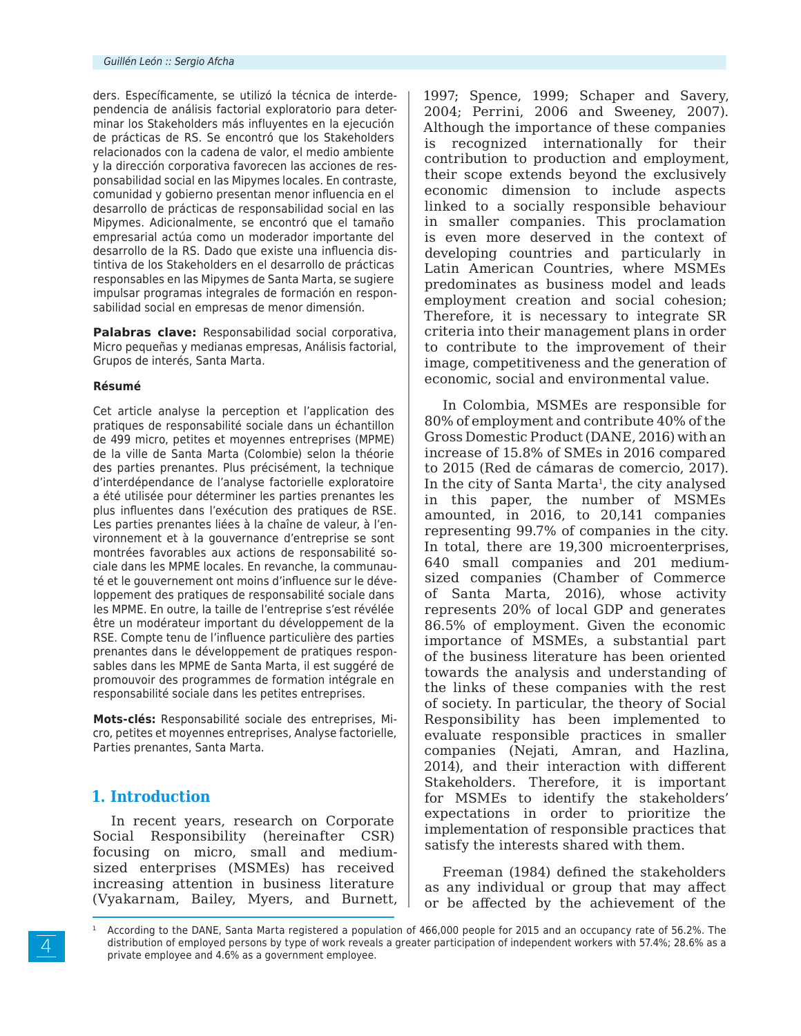ders. Específicamente, se utilizó la técnica de interdependencia de análisis factorial exploratorio para determinar los Stakeholders más influyentes en la ejecución de prácticas de RS. Se encontró que los Stakeholders relacionados con la cadena de valor, el medio ambiente y la dirección corporativa favorecen las acciones de responsabilidad social en las Mipymes locales. En contraste, comunidad y gobierno presentan menor influencia en el desarrollo de prácticas de responsabilidad social en las Mipymes. Adicionalmente, se encontró que el tamaño empresarial actúa como un moderador importante del desarrollo de la RS. Dado que existe una influencia distintiva de los Stakeholders en el desarrollo de prácticas responsables en las Mipymes de Santa Marta, se sugiere impulsar programas integrales de formación en responsabilidad social en empresas de menor dimensión.

**Palabras clave:** Responsabilidad social corporativa, Micro pequeñas y medianas empresas, Análisis factorial, Grupos de interés, Santa Marta.

#### **Résumé**

Cet article analyse la perception et l'application des pratiques de responsabilité sociale dans un échantillon de 499 micro, petites et moyennes entreprises (MPME) de la ville de Santa Marta (Colombie) selon la théorie des parties prenantes. Plus précisément, la technique d'interdépendance de l'analyse factorielle exploratoire a été utilisée pour déterminer les parties prenantes les plus influentes dans l'exécution des pratiques de RSE. Les parties prenantes liées à la chaîne de valeur, à l'environnement et à la gouvernance d'entreprise se sont montrées favorables aux actions de responsabilité sociale dans les MPME locales. En revanche, la communauté et le gouvernement ont moins d'influence sur le développement des pratiques de responsabilité sociale dans les MPME. En outre, la taille de l'entreprise s'est révélée être un modérateur important du développement de la RSE. Compte tenu de l'influence particulière des parties prenantes dans le développement de pratiques responsables dans les MPME de Santa Marta, il est suggéré de promouvoir des programmes de formation intégrale en responsabilité sociale dans les petites entreprises.

**Mots-clés:** Responsabilité sociale des entreprises, Micro, petites et moyennes entreprises, Analyse factorielle, Parties prenantes, Santa Marta.

## **1. Introduction**

In recent years, research on Corporate Social Responsibility (hereinafter CSR) focusing on micro, small and mediumsized enterprises (MSMEs) has received increasing attention in business literature (Vyakarnam, Bailey, Myers, and Burnett,

1997; Spence, 1999; Schaper and Savery, 2004; Perrini, 2006 and Sweeney, 2007). Although the importance of these companies is recognized internationally for their contribution to production and employment, their scope extends beyond the exclusively economic dimension to include aspects linked to a socially responsible behaviour in smaller companies. This proclamation is even more deserved in the context of developing countries and particularly in Latin American Countries, where MSMEs predominates as business model and leads employment creation and social cohesion; Therefore, it is necessary to integrate SR criteria into their management plans in order to contribute to the improvement of their image, competitiveness and the generation of economic, social and environmental value.

In Colombia, MSMEs are responsible for 80% of employment and contribute 40% of the Gross Domestic Product (DANE, 2016) with an increase of 15.8% of SMEs in 2016 compared to 2015 (Red de cámaras de comercio, 2017). In the city of Santa Marta<sup>1</sup>, the city analysed in this paper, the number of MSMEs amounted, in 2016, to 20,141 companies representing 99.7% of companies in the city. In total, there are 19,300 microenterprises, 640 small companies and 201 mediumsized companies (Chamber of Commerce of Santa Marta, 2016), whose activity represents 20% of local GDP and generates 86.5% of employment. Given the economic importance of MSMEs, a substantial part of the business literature has been oriented towards the analysis and understanding of the links of these companies with the rest of society. In particular, the theory of Social Responsibility has been implemented to evaluate responsible practices in smaller companies (Nejati, Amran, and Hazlina, 2014), and their interaction with different Stakeholders. Therefore, it is important for MSMEs to identify the stakeholders' expectations in order to prioritize the implementation of responsible practices that satisfy the interests shared with them.

Freeman (1984) defined the stakeholders as any individual or group that may affect or be affected by the achievement of the

<sup>1</sup> According to the DANE, Santa Marta registered a population of 466,000 people for 2015 and an occupancy rate of 56.2%. The distribution of employed persons by type of work reveals a greater participation of independent workers with 57.4%; 28.6% as a private employee and 4.6% as a government employee.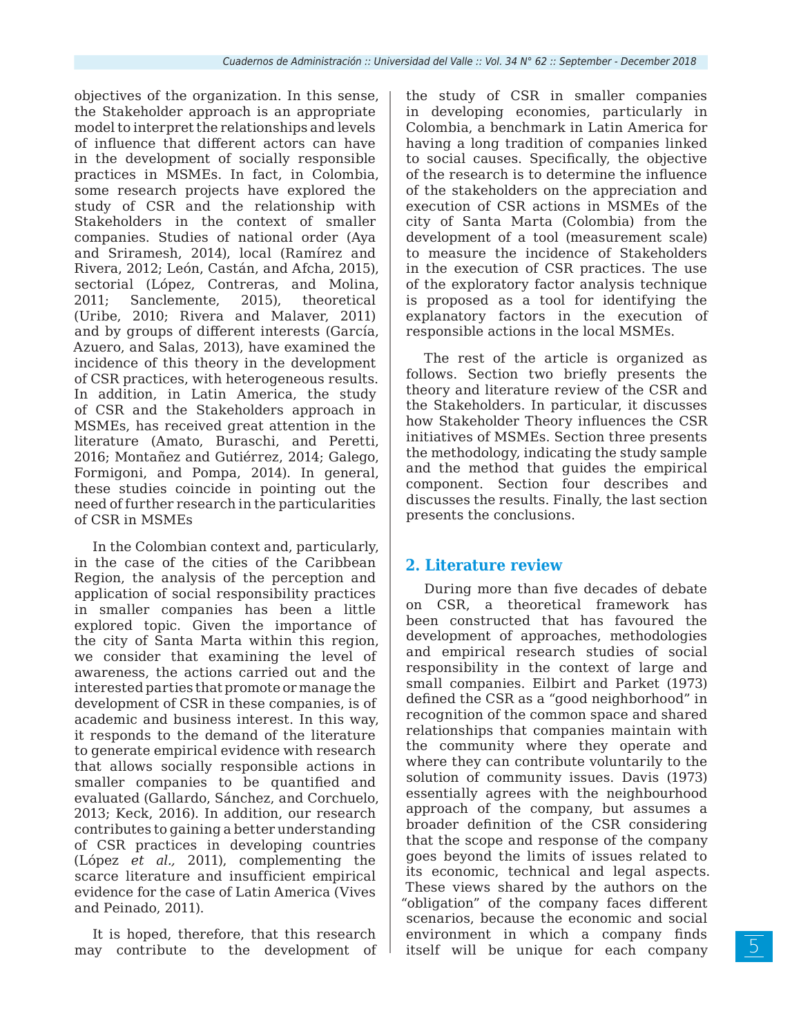objectives of the organization. In this sense, the Stakeholder approach is an appropriate model to interpret the relationships and levels of influence that different actors can have in the development of socially responsible practices in MSMEs. In fact, in Colombia, some research projects have explored the study of CSR and the relationship with Stakeholders in the context of smaller companies. Studies of national order (Aya and Sriramesh, 2014), local (Ramírez and Rivera, 2012; León, Castán, and Afcha, 2015), sectorial (López, Contreras, and Molina, 2011; Sanclemente, 2015), theoretical (Uribe, 2010; Rivera and Malaver, 2011) and by groups of different interests (García, Azuero, and Salas, 2013), have examined the incidence of this theory in the development of CSR practices, with heterogeneous results. In addition, in Latin America, the study of CSR and the Stakeholders approach in MSMEs, has received great attention in the literature (Amato, Buraschi, and Peretti, 2016; Montañez and Gutiérrez, 2014; Galego, Formigoni, and Pompa, 2014). In general, these studies coincide in pointing out the need of further research in the particularities of CSR in MSMEs

In the Colombian context and, particularly, in the case of the cities of the Caribbean Region, the analysis of the perception and application of social responsibility practices in smaller companies has been a little explored topic. Given the importance of the city of Santa Marta within this region, we consider that examining the level of awareness, the actions carried out and the interested parties that promote or manage the development of CSR in these companies, is of academic and business interest. In this way, it responds to the demand of the literature to generate empirical evidence with research that allows socially responsible actions in smaller companies to be quantified and evaluated (Gallardo, Sánchez, and Corchuelo, 2013; Keck, 2016). In addition, our research contributes to gaining a better understanding of CSR practices in developing countries (López *et al.,* 2011), complementing the scarce literature and insufficient empirical evidence for the case of Latin America (Vives and Peinado, 2011).

It is hoped, therefore, that this research may contribute to the development of the study of CSR in smaller companies in developing economies, particularly in Colombia, a benchmark in Latin America for having a long tradition of companies linked to social causes. Specifically, the objective of the research is to determine the influence of the stakeholders on the appreciation and execution of CSR actions in MSMEs of the city of Santa Marta (Colombia) from the development of a tool (measurement scale) to measure the incidence of Stakeholders in the execution of CSR practices. The use of the exploratory factor analysis technique is proposed as a tool for identifying the explanatory factors in the execution of responsible actions in the local MSMEs.

The rest of the article is organized as follows. Section two briefly presents the theory and literature review of the CSR and the Stakeholders. In particular, it discusses how Stakeholder Theory influences the CSR initiatives of MSMEs. Section three presents the methodology, indicating the study sample and the method that guides the empirical component. Section four describes and discusses the results. Finally, the last section presents the conclusions.

## **2. Literature review**

During more than five decades of debate on CSR, a theoretical framework has been constructed that has favoured the development of approaches, methodologies and empirical research studies of social responsibility in the context of large and small companies. Eilbirt and Parket (1973) defined the CSR as a "good neighborhood" in recognition of the common space and shared relationships that companies maintain with the community where they operate and where they can contribute voluntarily to the solution of community issues. Davis (1973) essentially agrees with the neighbourhood approach of the company, but assumes a broader definition of the CSR considering that the scope and response of the company goes beyond the limits of issues related to its economic, technical and legal aspects. These views shared by the authors on the "obligation" of the company faces different scenarios, because the economic and social environment in which a company finds itself will be unique for each company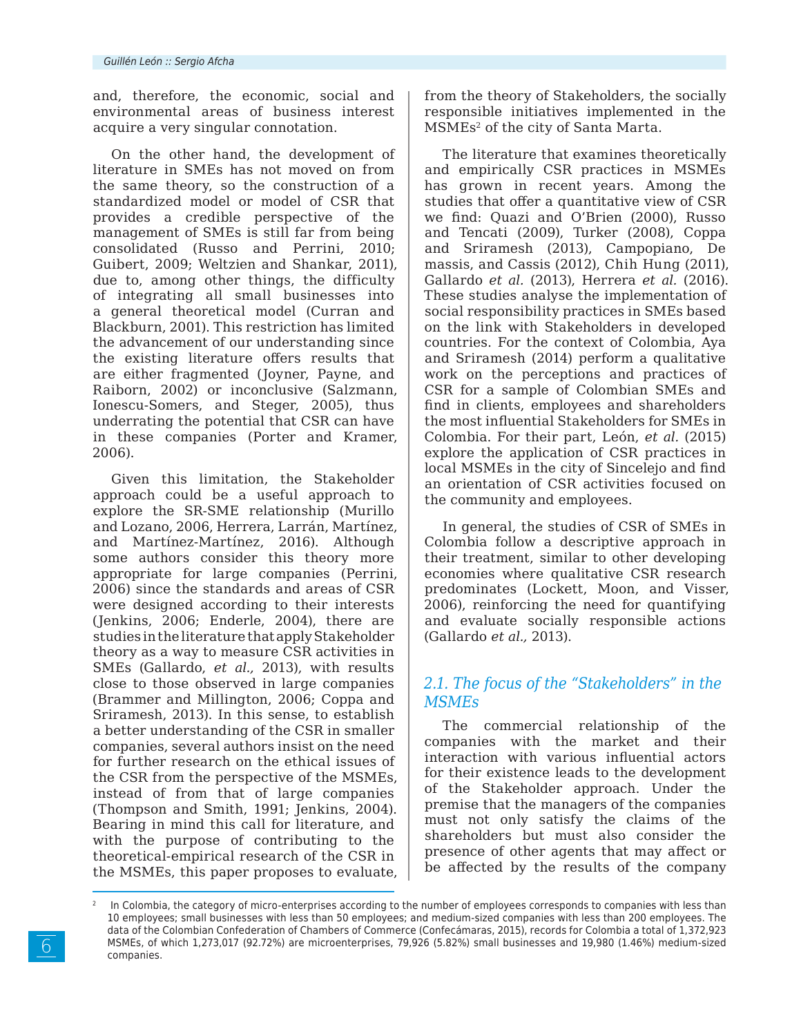and, therefore, the economic, social and environmental areas of business interest acquire a very singular connotation.

On the other hand, the development of literature in SMEs has not moved on from the same theory, so the construction of a standardized model or model of CSR that provides a credible perspective of the management of SMEs is still far from being consolidated (Russo and Perrini, 2010; Guibert, 2009; Weltzien and Shankar, 2011), due to, among other things, the difficulty of integrating all small businesses into a general theoretical model (Curran and Blackburn, 2001). This restriction has limited the advancement of our understanding since the existing literature offers results that are either fragmented (Joyner, Payne, and Raiborn, 2002) or inconclusive (Salzmann, Ionescu-Somers, and Steger, 2005), thus underrating the potential that CSR can have in these companies (Porter and Kramer, 2006).

Given this limitation, the Stakeholder approach could be a useful approach to explore the SR-SME relationship (Murillo and Lozano, 2006, Herrera, Larrán, Martínez, and Martínez-Martínez, 2016). Although some authors consider this theory more appropriate for large companies (Perrini, 2006) since the standards and areas of CSR were designed according to their interests (Jenkins, 2006; Enderle, 2004), there are studies in the literature that apply Stakeholder theory as a way to measure CSR activities in SMEs (Gallardo, *et al.,* 2013), with results close to those observed in large companies (Brammer and Millington, 2006; Coppa and Sriramesh, 2013). In this sense, to establish a better understanding of the CSR in smaller companies, several authors insist on the need for further research on the ethical issues of the CSR from the perspective of the MSMEs, instead of from that of large companies (Thompson and Smith, 1991; Jenkins, 2004). Bearing in mind this call for literature, and with the purpose of contributing to the theoretical-empirical research of the CSR in the MSMEs, this paper proposes to evaluate, from the theory of Stakeholders, the socially responsible initiatives implemented in the MSMEs2 of the city of Santa Marta.

The literature that examines theoretically and empirically CSR practices in MSMEs has grown in recent years. Among the studies that offer a quantitative view of CSR we find: Quazi and O'Brien (2000), Russo and Tencati (2009), Turker (2008), Coppa and Sriramesh (2013), Campopiano, De massis, and Cassis (2012), Chih Hung (2011), Gallardo *et al.* (2013), Herrera *et al.* (2016). These studies analyse the implementation of social responsibility practices in SMEs based on the link with Stakeholders in developed countries. For the context of Colombia, Aya and Sriramesh (2014) perform a qualitative work on the perceptions and practices of CSR for a sample of Colombian SMEs and find in clients, employees and shareholders the most influential Stakeholders for SMEs in Colombia. For their part, León, *et al.* (2015) explore the application of CSR practices in local MSMEs in the city of Sincelejo and find an orientation of CSR activities focused on the community and employees.

In general, the studies of CSR of SMEs in Colombia follow a descriptive approach in their treatment, similar to other developing economies where qualitative CSR research predominates (Lockett, Moon, and Visser, 2006), reinforcing the need for quantifying and evaluate socially responsible actions (Gallardo *et al.,* 2013).

## *2.1. The focus of the "Stakeholders" in the MSMEs*

The commercial relationship of the companies with the market and their interaction with various influential actors for their existence leads to the development of the Stakeholder approach. Under the premise that the managers of the companies must not only satisfy the claims of the shareholders but must also consider the presence of other agents that may affect or be affected by the results of the company

In Colombia, the category of micro-enterprises according to the number of employees corresponds to companies with less than 10 employees; small businesses with less than 50 employees; and medium-sized companies with less than 200 employees. The data of the Colombian Confederation of Chambers of Commerce (Confecámaras, 2015), records for Colombia a total of 1,372,923 MSMEs, of which 1,273,017 (92.72%) are microenterprises, 79,926 (5.82%) small businesses and 19,980 (1.46%) medium-sized companies.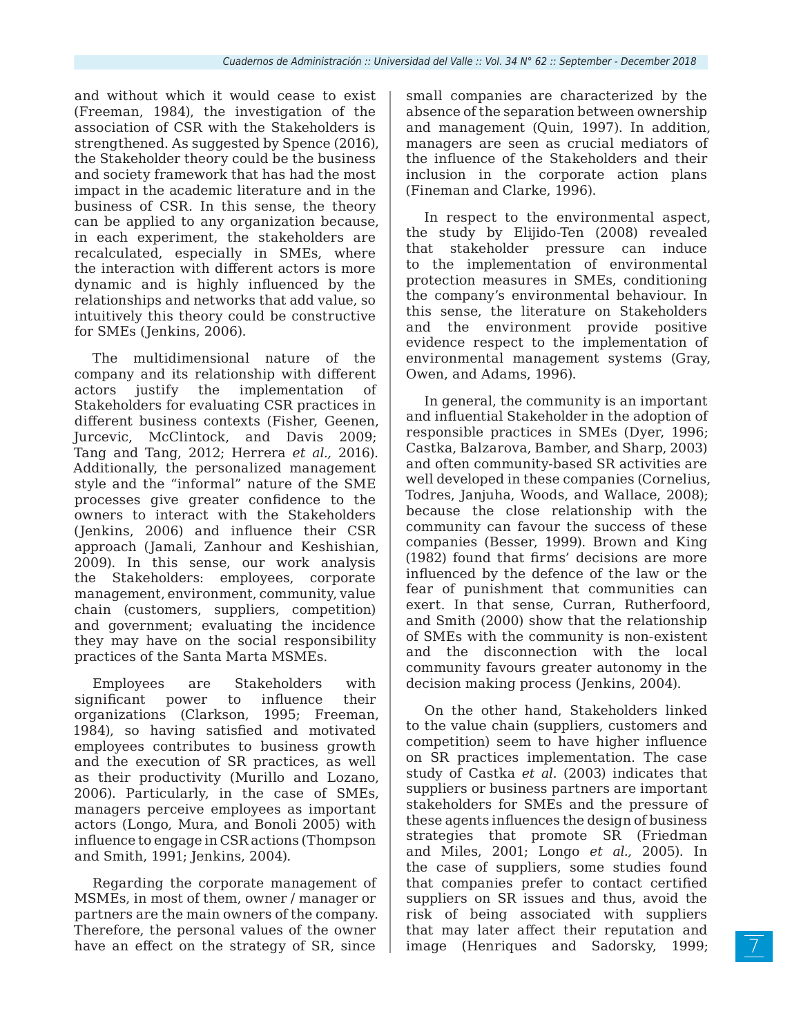and without which it would cease to exist (Freeman, 1984), the investigation of the association of CSR with the Stakeholders is strengthened. As suggested by Spence (2016), the Stakeholder theory could be the business and society framework that has had the most impact in the academic literature and in the business of CSR. In this sense, the theory can be applied to any organization because, in each experiment, the stakeholders are recalculated, especially in SMEs, where the interaction with different actors is more dynamic and is highly influenced by the relationships and networks that add value, so intuitively this theory could be constructive for SMEs (Jenkins, 2006).

The multidimensional nature of the company and its relationship with different actors justify the implementation of Stakeholders for evaluating CSR practices in different business contexts (Fisher, Geenen, Jurcevic, McClintock, and Davis 2009; Tang and Tang, 2012; Herrera *et al.,* 2016). Additionally, the personalized management style and the "informal" nature of the SME processes give greater confidence to the owners to interact with the Stakeholders (Jenkins, 2006) and influence their CSR approach (Jamali, Zanhour and Keshishian, 2009). In this sense, our work analysis the Stakeholders: employees, corporate management, environment, community, value chain (customers, suppliers, competition) and government; evaluating the incidence they may have on the social responsibility practices of the Santa Marta MSMEs.

Employees are Stakeholders with significant power to influence their organizations (Clarkson, 1995; Freeman, 1984), so having satisfied and motivated employees contributes to business growth and the execution of SR practices, as well as their productivity (Murillo and Lozano, 2006). Particularly, in the case of SMEs, managers perceive employees as important actors (Longo, Mura, and Bonoli 2005) with influence to engage in CSR actions (Thompson and Smith, 1991; Jenkins, 2004).

Regarding the corporate management of MSMEs, in most of them, owner / manager or partners are the main owners of the company. Therefore, the personal values of the owner have an effect on the strategy of SR, since

small companies are characterized by the absence of the separation between ownership and management (Quin, 1997). In addition, managers are seen as crucial mediators of the influence of the Stakeholders and their inclusion in the corporate action plans (Fineman and Clarke, 1996).

In respect to the environmental aspect, the study by Elijido-Ten (2008) revealed that stakeholder pressure can induce to the implementation of environmental protection measures in SMEs, conditioning the company's environmental behaviour. In this sense, the literature on Stakeholders and the environment provide positive evidence respect to the implementation of environmental management systems (Gray, Owen, and Adams, 1996).

In general, the community is an important and influential Stakeholder in the adoption of responsible practices in SMEs (Dyer, 1996; Castka, Balzarova, Bamber, and Sharp, 2003) and often community-based SR activities are well developed in these companies (Cornelius, Todres, Janjuha, Woods, and Wallace, 2008); because the close relationship with the community can favour the success of these companies (Besser, 1999). Brown and King (1982) found that firms' decisions are more influenced by the defence of the law or the fear of punishment that communities can exert. In that sense, Curran, Rutherfoord, and Smith (2000) show that the relationship of SMEs with the community is non-existent and the disconnection with the local community favours greater autonomy in the decision making process (Jenkins, 2004).

On the other hand, Stakeholders linked to the value chain (suppliers, customers and competition) seem to have higher influence on SR practices implementation. The case study of Castka *et al.* (2003) indicates that suppliers or business partners are important stakeholders for SMEs and the pressure of these agents influences the design of business strategies that promote SR (Friedman and Miles, 2001; Longo *et al.,* 2005). In the case of suppliers, some studies found that companies prefer to contact certified suppliers on SR issues and thus, avoid the risk of being associated with suppliers that may later affect their reputation and image (Henriques and Sadorsky, 1999;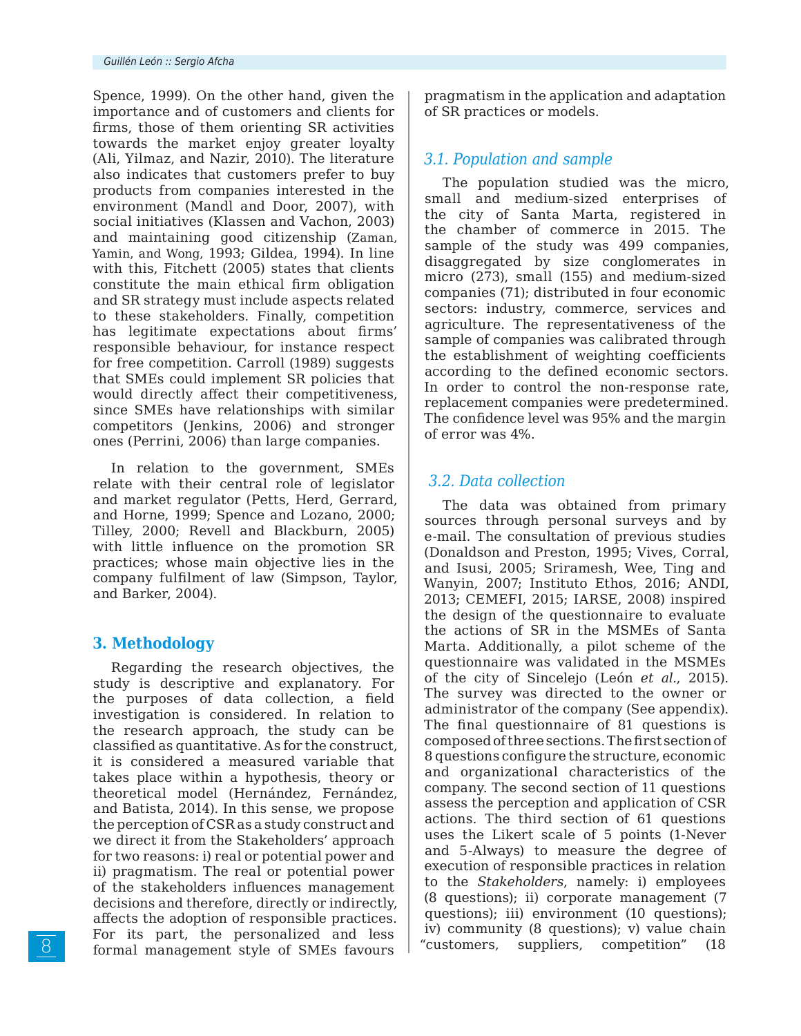Spence, 1999). On the other hand, given the importance and of customers and clients for firms, those of them orienting SR activities towards the market enjoy greater loyalty (Ali, Yilmaz, and Nazir, 2010). The literature also indicates that customers prefer to buy products from companies interested in the environment (Mandl and Door, 2007), with social initiatives (Klassen and Vachon, 2003) and maintaining good citizenship (Zaman, Yamin, and Wong, 1993; Gildea, 1994). In line with this, Fitchett (2005) states that clients constitute the main ethical firm obligation and SR strategy must include aspects related to these stakeholders. Finally, competition has legitimate expectations about firms' responsible behaviour, for instance respect for free competition. Carroll (1989) suggests that SMEs could implement SR policies that would directly affect their competitiveness, since SMEs have relationships with similar competitors (Jenkins, 2006) and stronger ones (Perrini, 2006) than large companies.

In relation to the government, SMEs relate with their central role of legislator and market regulator (Petts, Herd, Gerrard, and Horne, 1999; Spence and Lozano, 2000; Tilley, 2000; Revell and Blackburn, 2005) with little influence on the promotion SR practices; whose main objective lies in the company fulfilment of law (Simpson, Taylor, and Barker, 2004).

## **3. Methodology**

Regarding the research objectives, the study is descriptive and explanatory. For the purposes of data collection, a field investigation is considered. In relation to the research approach, the study can be classified as quantitative. As for the construct, it is considered a measured variable that takes place within a hypothesis, theory or theoretical model (Hernández, Fernández, and Batista, 2014). In this sense, we propose the perception of CSR as a study construct and we direct it from the Stakeholders' approach for two reasons: i) real or potential power and ii) pragmatism. The real or potential power of the stakeholders influences management decisions and therefore, directly or indirectly, affects the adoption of responsible practices. For its part, the personalized and less formal management style of SMEs favours

pragmatism in the application and adaptation of SR practices or models.

# *3.1. Population and sample*

The population studied was the micro, small and medium-sized enterprises of the city of Santa Marta, registered in the chamber of commerce in 2015. The sample of the study was 499 companies, disaggregated by size conglomerates in micro (273), small (155) and medium-sized companies (71); distributed in four economic sectors: industry, commerce, services and agriculture. The representativeness of the sample of companies was calibrated through the establishment of weighting coefficients according to the defined economic sectors. In order to control the non-response rate, replacement companies were predetermined. The confidence level was 95% and the margin of error was 4%.

# *3.2. Data collection*

The data was obtained from primary sources through personal surveys and by e-mail. The consultation of previous studies (Donaldson and Preston, 1995; Vives, Corral, and Isusi, 2005; Sriramesh, Wee, Ting and Wanyin, 2007; Instituto Ethos, 2016; ANDI, 2013; CEMEFI, 2015; IARSE, 2008) inspired the design of the questionnaire to evaluate the actions of SR in the MSMEs of Santa Marta. Additionally, a pilot scheme of the questionnaire was validated in the MSMEs of the city of Sincelejo (León *et al.*, 2015). The survey was directed to the owner or administrator of the company (See appendix). The final questionnaire of 81 questions is composed of three sections. The first section of 8 questions configure the structure, economic and organizational characteristics of the company. The second section of 11 questions assess the perception and application of CSR actions. The third section of 61 questions uses the Likert scale of 5 points (1-Never and 5-Always) to measure the degree of execution of responsible practices in relation to the *Stakeholders*, namely: i) employees (8 questions); ii) corporate management (7 questions); iii) environment (10 questions); iv) community (8 questions); v) value chain "customers, suppliers, competition" (18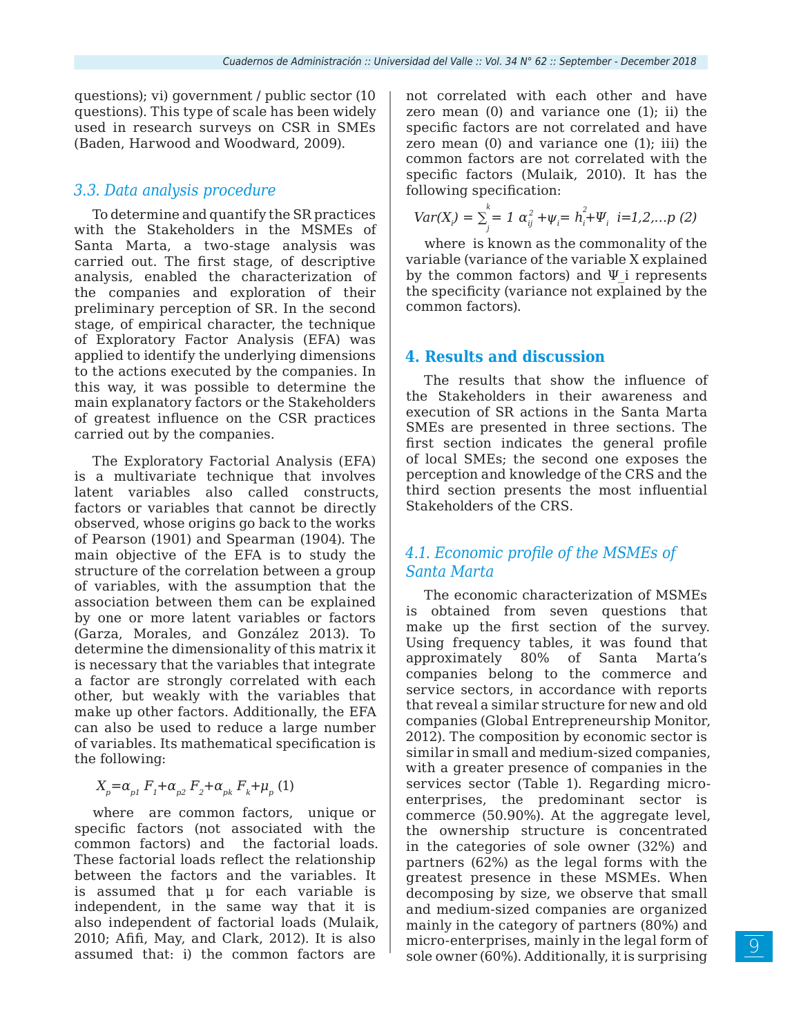questions); vi) government / public sector (10 questions). This type of scale has been widely used in research surveys on CSR in SMEs (Baden, Harwood and Woodward, 2009).

### *3.3. Data analysis procedure*

To determine and quantify the SR practices with the Stakeholders in the MSMEs of Santa Marta, a two-stage analysis was carried out. The first stage, of descriptive analysis, enabled the characterization of the companies and exploration of their preliminary perception of SR. In the second stage, of empirical character, the technique of Exploratory Factor Analysis (EFA) was applied to identify the underlying dimensions to the actions executed by the companies. In this way, it was possible to determine the main explanatory factors or the Stakeholders of greatest influence on the CSR practices carried out by the companies.

The Exploratory Factorial Analysis (EFA) is a multivariate technique that involves latent variables also called constructs, factors or variables that cannot be directly observed, whose origins go back to the works of Pearson (1901) and Spearman (1904). The main objective of the EFA is to study the structure of the correlation between a group of variables, with the assumption that the association between them can be explained by one or more latent variables or factors (Garza, Morales, and González 2013). To determine the dimensionality of this matrix it is necessary that the variables that integrate a factor are strongly correlated with each other, but weakly with the variables that make up other factors. Additionally, the EFA can also be used to reduce a large number of variables. Its mathematical specification is the following:

 $X_p = \alpha_{p1} F_1 + \alpha_{p2} F_2 + \alpha_{pk} F_k + \mu_p (1)$ 

where are common factors, unique or specific factors (not associated with the common factors) and the factorial loads. These factorial loads reflect the relationship between the factors and the variables. It is assumed that μ for each variable is independent, in the same way that it is also independent of factorial loads (Mulaik, 2010; Afifi, May, and Clark, 2012). It is also assumed that: i) the common factors are

not correlated with each other and have zero mean (0) and variance one (1); ii) the specific factors are not correlated and have zero mean (0) and variance one (1); iii) the common factors are not correlated with the specific factors (Mulaik, 2010). It has the following specification:

$$
Var(X_i) = \sum_{j}^{k} = 1 \ \alpha_{ij}^2 + \psi_i = h_i^2 + \Psi_i \ \ i = 1, 2, \dots p \ (2)
$$

where is known as the commonality of the variable (variance of the variable X explained by the common factors) and  $\Psi$  i represents the specificity (variance not explained by the common factors).

#### **4. Results and discussion**

The results that show the influence of the Stakeholders in their awareness and execution of SR actions in the Santa Marta SMEs are presented in three sections. The first section indicates the general profile of local SMEs; the second one exposes the perception and knowledge of the CRS and the third section presents the most influential Stakeholders of the CRS.

## *4.1. Economic profile of the MSMEs of Santa Marta*

The economic characterization of MSMEs is obtained from seven questions that make up the first section of the survey. Using frequency tables, it was found that approximately 80% of Santa Marta's companies belong to the commerce and service sectors, in accordance with reports that reveal a similar structure for new and old companies (Global Entrepreneurship Monitor, 2012). The composition by economic sector is similar in small and medium-sized companies, with a greater presence of companies in the services sector (Table 1). Regarding microenterprises, the predominant sector is commerce (50.90%). At the aggregate level, the ownership structure is concentrated in the categories of sole owner (32%) and partners (62%) as the legal forms with the greatest presence in these MSMEs. When decomposing by size, we observe that small and medium-sized companies are organized mainly in the category of partners (80%) and micro-enterprises, mainly in the legal form of sole owner (60%). Additionally, it is surprising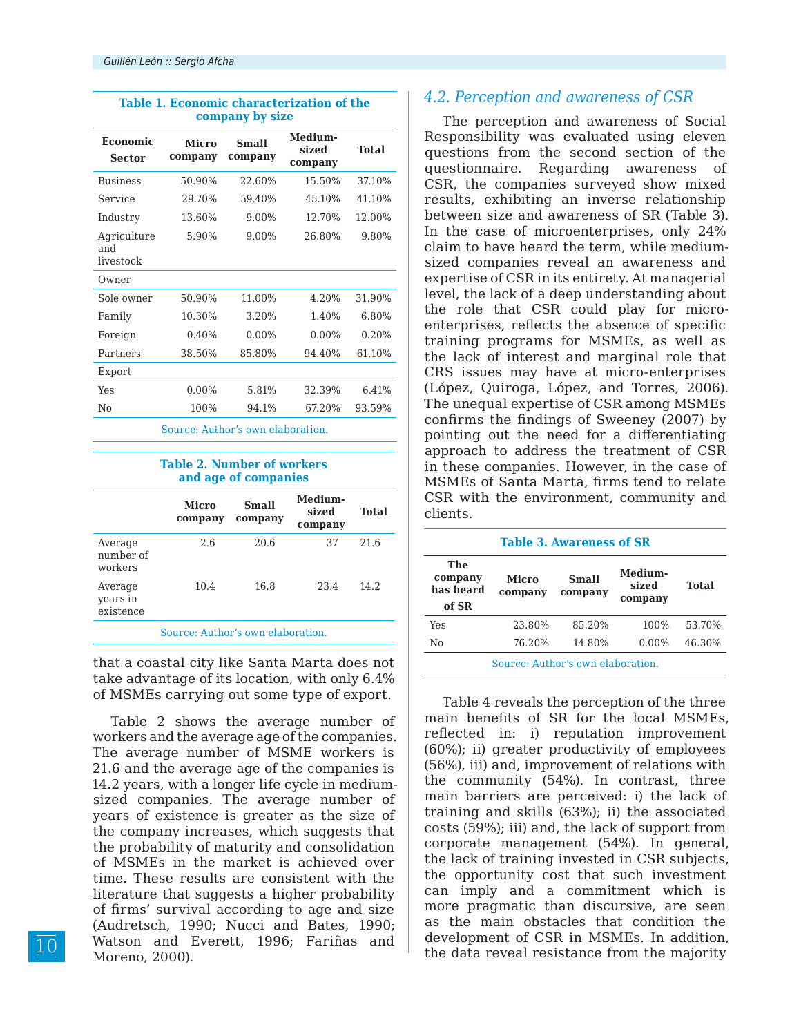| Table 1. Economic characterization of the<br>company by size |                         |                  |                             |        |
|--------------------------------------------------------------|-------------------------|------------------|-----------------------------|--------|
| <b>Economic</b><br><b>Sector</b>                             | <b>Micro</b><br>company | Small<br>company | Medium-<br>sized<br>company | Total  |
| <b>Business</b>                                              | 50.90%                  | 22.60%           | 15.50%                      | 37.10% |
| Service                                                      | 29.70%                  | 59.40%           | 45.10%                      | 41.10% |
| Industry                                                     | 13.60%                  | 9.00%            | 12.70%                      | 12.00% |
| Agriculture<br>and<br>livestock                              | 5.90%                   | 9.00%            | 26.80%                      | 9.80%  |
| Owner                                                        |                         |                  |                             |        |
| Sole owner                                                   | 50.90%                  | 11.00%           | 4.20%                       | 31.90% |
| Family                                                       | 10.30%                  | 3.20%            | 1.40%                       | 6.80%  |
| Foreign                                                      | 0.40%                   | $0.00\%$         | $0.00\%$                    | 0.20%  |
| Partners                                                     | 38.50%                  | 85.80%           | 94.40%                      | 61.10% |
| Export                                                       |                         |                  |                             |        |
| Yes                                                          | $0.00\%$                | 5.81%            | 32.39%                      | 6.41%  |
| N <sub>0</sub>                                               | 100%                    | 94.1%            | 67.20%                      | 93.59% |
| Source: Author's own elaboration.                            |                         |                  |                             |        |

#### **Table 2. Number of workers and age of companies**

|                                  | <b>Micro</b><br>company | Small<br>company | Medium-<br>sized<br>company | <b>Total</b> |
|----------------------------------|-------------------------|------------------|-----------------------------|--------------|
| Average<br>number of<br>workers  | 2.6                     | 20.6             | 37                          | 21.6         |
| Average<br>years in<br>existence | 10.4                    | 16.8             | 23.4                        | 14.2.        |

Source: Author's own elaboration.

that a coastal city like Santa Marta does not take advantage of its location, with only 6.4% of MSMEs carrying out some type of export.

Table 2 shows the average number of workers and the average age of the companies. The average number of MSME workers is 21.6 and the average age of the companies is 14.2 years, with a longer life cycle in mediumsized companies. The average number of years of existence is greater as the size of the company increases, which suggests that the probability of maturity and consolidation of MSMEs in the market is achieved over time. These results are consistent with the literature that suggests a higher probability of firms' survival according to age and size (Audretsch, 1990; Nucci and Bates, 1990; Watson and Everett, 1996; Fariñas and Moreno, 2000).

## *4.2. Perception and awareness of CSR*

The perception and awareness of Social Responsibility was evaluated using eleven questions from the second section of the questionnaire. Regarding awareness of CSR, the companies surveyed show mixed results, exhibiting an inverse relationship between size and awareness of SR (Table 3). In the case of microenterprises, only 24% claim to have heard the term, while mediumsized companies reveal an awareness and expertise of CSR in its entirety. At managerial level, the lack of a deep understanding about the role that CSR could play for microenterprises, reflects the absence of specific training programs for MSMEs, as well as the lack of interest and marginal role that CRS issues may have at micro-enterprises (López, Quiroga, López, and Torres, 2006). The unequal expertise of CSR among MSMEs confirms the findings of Sweeney (2007) by pointing out the need for a differentiating approach to address the treatment of CSR in these companies. However, in the case of MSMEs of Santa Marta, firms tend to relate CSR with the environment, community and clients.

| <b>Table 3. Awareness of SR</b>      |                         |                  |                             |        |
|--------------------------------------|-------------------------|------------------|-----------------------------|--------|
| The<br>company<br>has heard<br>of SR | <b>Micro</b><br>company | Small<br>company | Medium-<br>sized<br>company | Total  |
| <b>Yes</b>                           | 23.80%                  | 85.20%           | 100%                        | 53.70% |
| No                                   | 76.20%                  | 14.80%           | $0.00\%$                    | 46.30% |
| Source: Author's own elaboration.    |                         |                  |                             |        |

### Table 4 reveals the perception of the three main benefits of SR for the local MSMEs, reflected in: i) reputation improvement (60%); ii) greater productivity of employees (56%), iii) and, improvement of relations with the community (54%). In contrast, three main barriers are perceived: i) the lack of training and skills (63%); ii) the associated costs (59%); iii) and, the lack of support from corporate management (54%). In general, the lack of training invested in CSR subjects, the opportunity cost that such investment can imply and a commitment which is more pragmatic than discursive, are seen as the main obstacles that condition the development of CSR in MSMEs. In addition, the data reveal resistance from the majority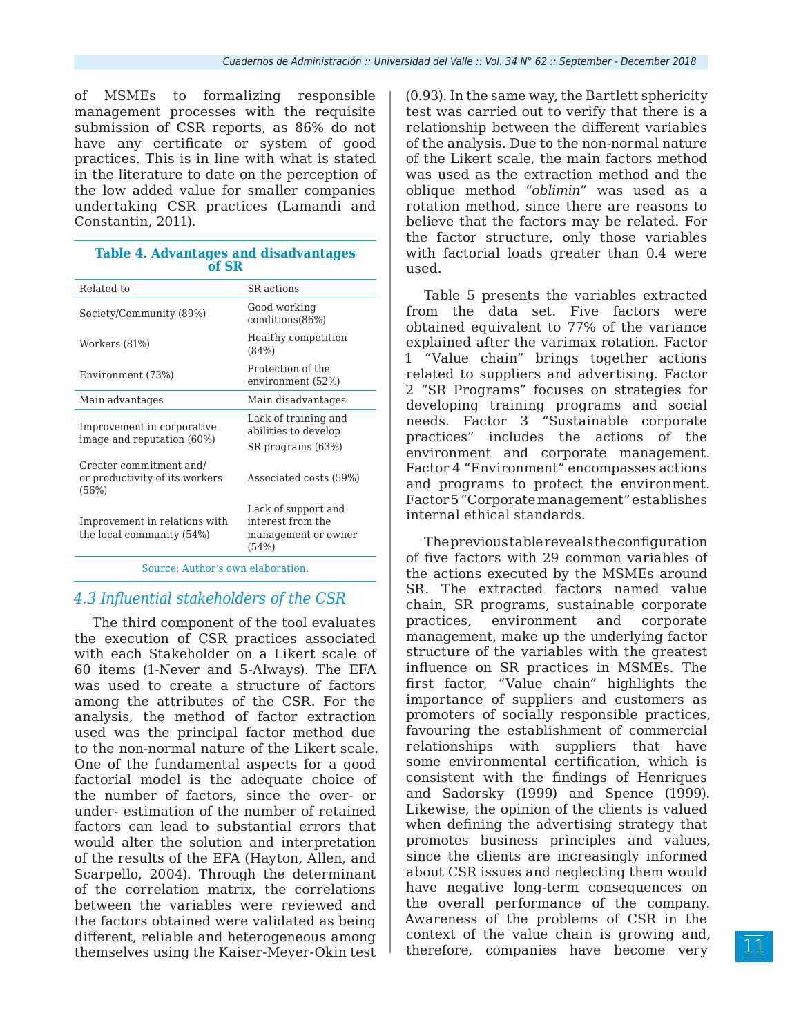of MSMEs to formalizing responsible management processes with the requisite submission of CSR reports, as 86% do not have any certificate or system of good practices. This is in line with what is stated in the literature to date on the perception of the low added value for smaller companies undertaking CSR practices (Lamandi and Constantin, 2011).

| <b>Table 4. Advantages and disadvantages</b> |  |
|----------------------------------------------|--|
| of SR                                        |  |

| Related to                                                         | SR actions                                                               |
|--------------------------------------------------------------------|--------------------------------------------------------------------------|
| Society/Community (89%)                                            | Good working<br>conditions(86%)                                          |
| Workers (81%)                                                      | Healthy competition<br>(84%)                                             |
| Environment (73%)                                                  | Protection of the<br>environment (52%)                                   |
| Main advantages                                                    | Main disadvantages                                                       |
| Improvement in corporative<br>image and reputation (60%)           | Lack of training and<br>abilities to develop<br>SR programs (63%)        |
| Greater commitment and/<br>or productivity of its workers<br>(56%) | Associated costs (59%)                                                   |
| Improvement in relations with<br>the local community (54%)         | Lack of support and<br>interest from the<br>management or owner<br>(54%) |
|                                                                    |                                                                          |

Source: Author's own elaboration.

## *4.3 Influential stakeholders of the CSR*

The third component of the tool evaluates the execution of CSR practices associated with each Stakeholder on a Likert scale of 60 items (1-Never and 5-Always). The EFA was used to create a structure of factors among the attributes of the CSR. For the analysis, the method of factor extraction used was the principal factor method due to the non-normal nature of the Likert scale. One of the fundamental aspects for a good factorial model is the adequate choice of the number of factors, since the over- or under- estimation of the number of retained factors can lead to substantial errors that would alter the solution and interpretation of the results of the EFA (Hayton, Allen, and Scarpello, 2004). Through the determinant of the correlation matrix, the correlations between the variables were reviewed and the factors obtained were validated as being different, reliable and heterogeneous among themselves using the Kaiser-Meyer-Okin test

(0.93). In the same way, the Bartlett sphericity test was carried out to verify that there is a relationship between the different variables of the analysis. Due to the non-normal nature of the Likert scale, the main factors method was used as the extraction method and the oblique method "*oblimin*" was used as a rotation method, since there are reasons to believe that the factors may be related. For the factor structure, only those variables with factorial loads greater than  $0.4$  were used.

Table 5 presents the variables extracted from the data set. Five factors were obtained equivalent to 77% of the variance explained after the varimax rotation. Factor 1 "Value chain" brings together actions related to suppliers and advertising. Factor 2 "SR Programs" focuses on strategies for developing training programs and social needs. Factor 3 "Sustainable corporate practices" includes the actions of the environment and corporate management. Factor 4 "Environment" encompasses actions and programs to protect the environment. Factor 5 "Corporate management" establishes internal ethical standards.

The previous table reveals the configuration of five factors with 29 common variables of the actions executed by the MSMEs around SR. The extracted factors named value chain, SR programs, sustainable corporate practices, environment and corporate management, make up the underlying factor structure of the variables with the greatest influence on SR practices in MSMEs. The first factor, "Value chain" highlights the importance of suppliers and customers as promoters of socially responsible practices, favouring the establishment of commercial relationships with suppliers that have some environmental certification, which is consistent with the findings of Henriques and Sadorsky (1999) and Spence (1999). Likewise, the opinion of the clients is valued when defining the advertising strategy that promotes business principles and values, since the clients are increasingly informed about CSR issues and neglecting them would have negative long-term consequences on the overall performance of the company. Awareness of the problems of CSR in the context of the value chain is growing and, therefore, companies have become very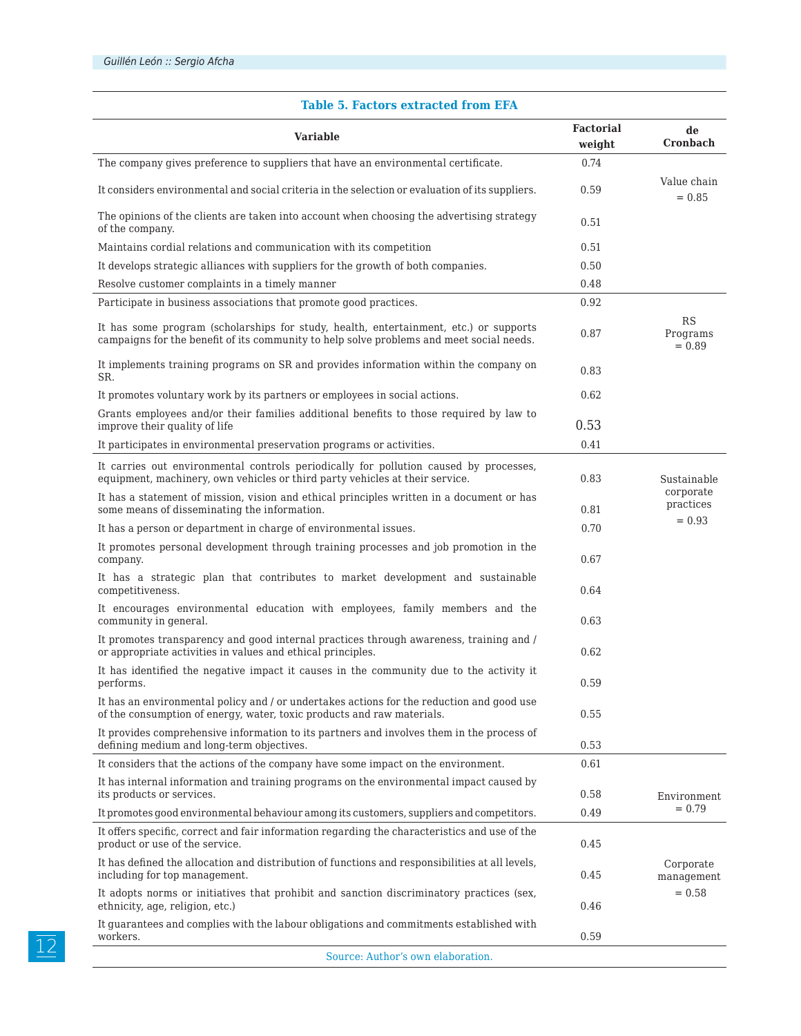#### **Variable Factorial weight de Cronbach** The company gives preference to suppliers that have an environmental certificate. 0.74 It considers environmental and social criteria in the selection or evaluation of its suppliers. 0.59 Value chain  $= 0.85$ The opinions of the clients are taken into account when choosing the advertising strategy of the company. 0.51 Maintains cordial relations and communication with its competition 0.51 It develops strategic alliances with suppliers for the growth of both companies. 0.50 Resolve customer complaints in a timely manner and the control of  $0.48$ Participate in business associations that promote good practices. 0.92 It has some program (scholarships for study, health, entertainment, etc.) or supports campaigns for the benefit of its community to help solve problems and meet social needs. 0.87 RS Programs  $= 0.89$ It implements training programs on SR and provides information within the company on  $0.83$ It promotes voluntary work by its partners or employees in social actions. 0.62 Grants employees and/or their families additional benefits to those required by law to  $\frac{1}{2}$  improve their quality of life 0.53 It participates in environmental preservation programs or activities. 0.41 It carries out environmental controls periodically for pollution caused by processes, equipment, machinery, own vehicles or third party vehicles at their service. 0.83 Sustainable corporate practices  $= 0.93$ It has a statement of mission, vision and ethical principles written in a document or has some means of disseminating the information.  $0.81$ It has a person or department in charge of environmental issues. 0.70 It promotes personal development through training processes and job promotion in the  $\,$  company.  $\,$  0.67  $\,$ It has a strategic plan that contributes to market development and sustainable competitiveness. 0.64 It encourages environmental education with employees, family members and the community in general.  $0.63$ It promotes transparency and good internal practices through awareness, training and / or appropriate activities in values and ethical principles. 0.62 It has identified the negative impact it causes in the community due to the activity it performs. 0.59 It has an environmental policy and / or undertakes actions for the reduction and good use of the consumption of energy, water, toxic products and raw materials. 0.55 It provides comprehensive information to its partners and involves them in the process of defining medium and long-term objectives.  $0.53$ It considers that the actions of the company have some impact on the environment. 0.61 Environment  $= 0.79$ It has internal information and training programs on the environmental impact caused by its products or services. 0.58 It promotes good environmental behaviour among its customers, suppliers and competitors. 0.49 It offers specific, correct and fair information regarding the characteristics and use of the product or use of the service.  $0.45$ Corporate management  $= 0.58$ It has defined the allocation and distribution of functions and responsibilities at all levels, including for top management. 0.45 It adopts norms or initiatives that prohibit and sanction discriminatory practices (sex, ethnicity, age, religion, etc.) 0.46 It guarantees and complies with the labour obligations and commitments established with workers.  $0.59$ Source: Author's own elaboration.

#### **Table 5. Factors extracted from EFA**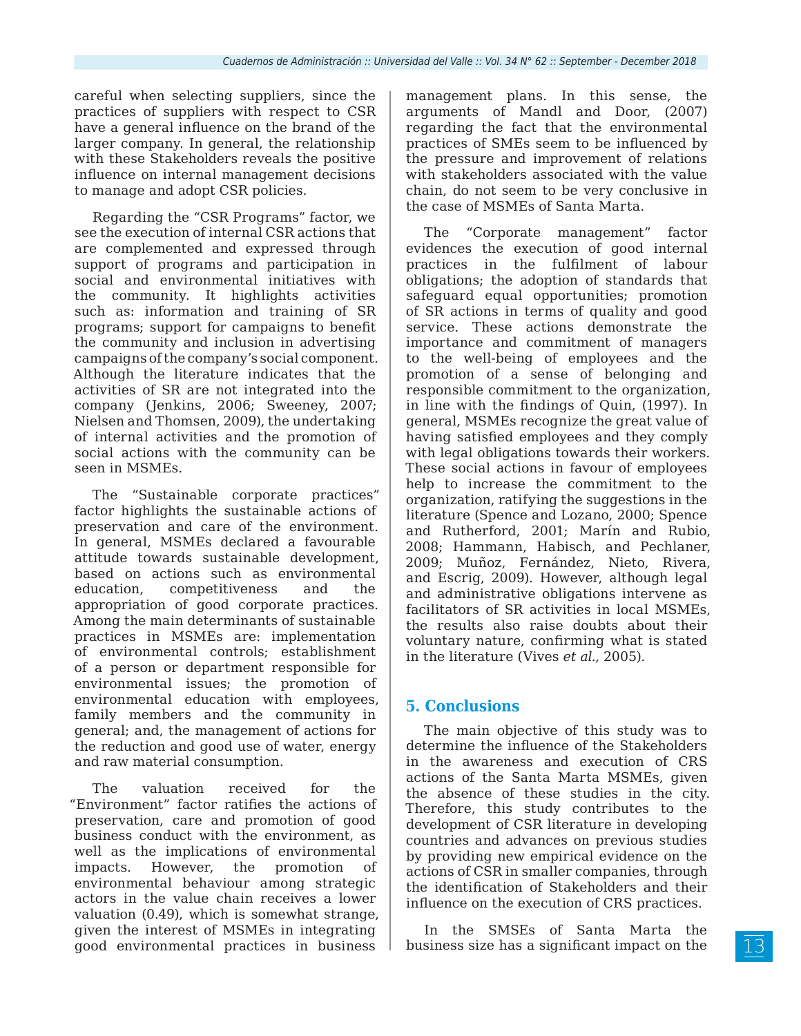careful when selecting suppliers, since the practices of suppliers with respect to CSR have a general influence on the brand of the larger company. In general, the relationship with these Stakeholders reveals the positive influence on internal management decisions to manage and adopt CSR policies.

Regarding the "CSR Programs" factor, we see the execution of internal CSR actions that are complemented and expressed through support of programs and participation in social and environmental initiatives with the community. It highlights activities such as: information and training of SR programs; support for campaigns to benefit the community and inclusion in advertising campaigns of the company's social component. Although the literature indicates that the activities of SR are not integrated into the company (Jenkins, 2006; Sweeney, 2007; Nielsen and Thomsen, 2009), the undertaking of internal activities and the promotion of social actions with the community can be seen in MSMEs.

The "Sustainable corporate practices" factor highlights the sustainable actions of preservation and care of the environment. In general, MSMEs declared a favourable attitude towards sustainable development, based on actions such as environmental education, competitiveness and the appropriation of good corporate practices. Among the main determinants of sustainable practices in MSMEs are: implementation of environmental controls; establishment of a person or department responsible for environmental issues; the promotion of environmental education with employees, family members and the community in general; and, the management of actions for the reduction and good use of water, energy and raw material consumption.

The valuation received for the "Environment" factor ratifies the actions of preservation, care and promotion of good business conduct with the environment, as well as the implications of environmental impacts. However, the promotion of environmental behaviour among strategic actors in the value chain receives a lower valuation (0.49), which is somewhat strange, given the interest of MSMEs in integrating good environmental practices in business

management plans. In this sense, the arguments of Mandl and Door, (2007) regarding the fact that the environmental practices of SMEs seem to be influenced by the pressure and improvement of relations with stakeholders associated with the value chain, do not seem to be very conclusive in the case of MSMEs of Santa Marta.

The "Corporate management" factor evidences the execution of good internal practices in the fulfilment of labour obligations; the adoption of standards that safeguard equal opportunities; promotion of SR actions in terms of quality and good service. These actions demonstrate the importance and commitment of managers to the well-being of employees and the promotion of a sense of belonging and responsible commitment to the organization, in line with the findings of Quin, (1997). In general, MSMEs recognize the great value of having satisfied employees and they comply with legal obligations towards their workers. These social actions in favour of employees help to increase the commitment to the organization, ratifying the suggestions in the literature (Spence and Lozano, 2000; Spence and Rutherford, 2001; Marín and Rubio, 2008; Hammann, Habisch, and Pechlaner, 2009; Muñoz, Fernández, Nieto, Rivera, and Escrig, 2009). However, although legal and administrative obligations intervene as facilitators of SR activities in local MSMEs, the results also raise doubts about their voluntary nature, confirming what is stated in the literature (Vives *et al.,* 2005).

## **5. Conclusions**

The main objective of this study was to determine the influence of the Stakeholders in the awareness and execution of CRS actions of the Santa Marta MSMEs, given the absence of these studies in the city. Therefore, this study contributes to the development of CSR literature in developing countries and advances on previous studies by providing new empirical evidence on the actions of CSR in smaller companies, through the identification of Stakeholders and their influence on the execution of CRS practices.

In the SMSEs of Santa Marta the business size has a significant impact on the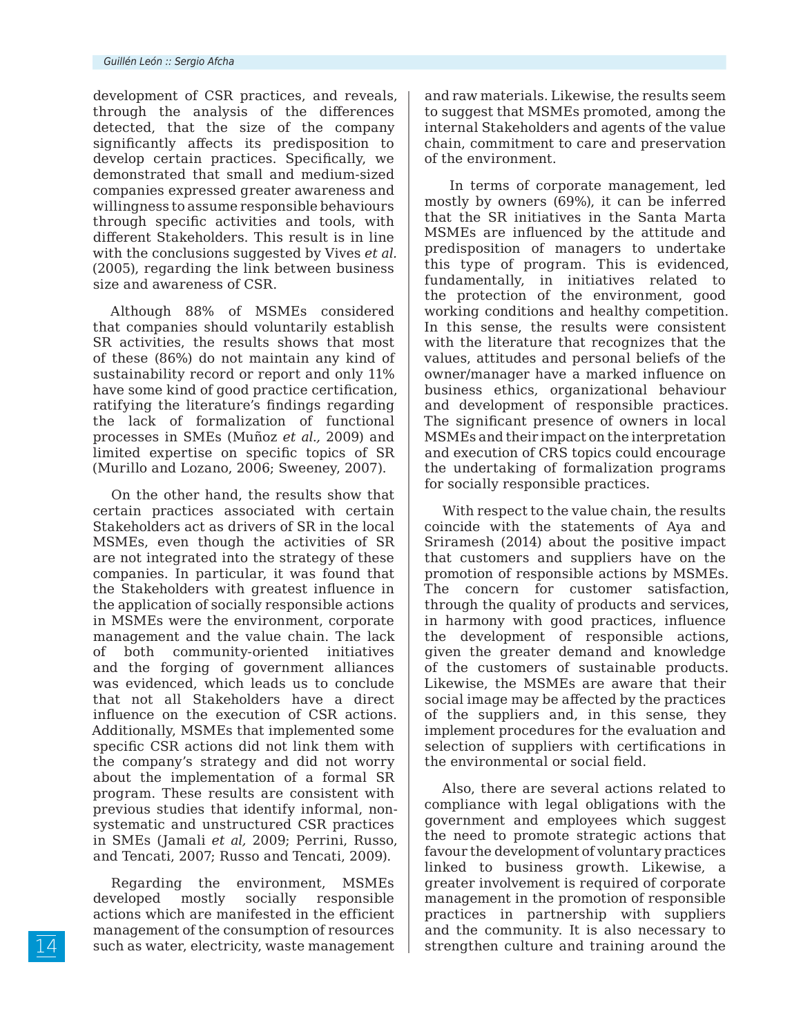development of CSR practices, and reveals, through the analysis of the differences detected, that the size of the company significantly affects its predisposition to develop certain practices. Specifically, we demonstrated that small and medium-sized companies expressed greater awareness and willingness to assume responsible behaviours through specific activities and tools, with different Stakeholders. This result is in line with the conclusions suggested by Vives *et al.* (2005), regarding the link between business size and awareness of CSR.

Although 88% of MSMEs considered that companies should voluntarily establish SR activities, the results shows that most of these (86%) do not maintain any kind of sustainability record or report and only 11% have some kind of good practice certification, ratifying the literature's findings regarding the lack of formalization of functional processes in SMEs (Muñoz *et al.,* 2009) and limited expertise on specific topics of SR (Murillo and Lozano, 2006; Sweeney, 2007).

On the other hand, the results show that certain practices associated with certain Stakeholders act as drivers of SR in the local MSMEs, even though the activities of SR are not integrated into the strategy of these companies. In particular, it was found that the Stakeholders with greatest influence in the application of socially responsible actions in MSMEs were the environment, corporate management and the value chain. The lack of both community-oriented initiatives and the forging of government alliances was evidenced, which leads us to conclude that not all Stakeholders have a direct influence on the execution of CSR actions. Additionally, MSMEs that implemented some specific CSR actions did not link them with the company's strategy and did not worry about the implementation of a formal SR program. These results are consistent with previous studies that identify informal, nonsystematic and unstructured CSR practices in SMEs (Jamali *et al,* 2009; Perrini, Russo, and Tencati, 2007; Russo and Tencati, 2009).

Regarding the environment, MSMEs developed mostly socially responsible actions which are manifested in the efficient management of the consumption of resources such as water, electricity, waste management and raw materials. Likewise, the results seem to suggest that MSMEs promoted, among the internal Stakeholders and agents of the value chain, commitment to care and preservation of the environment.

In terms of corporate management, led mostly by owners (69%), it can be inferred that the SR initiatives in the Santa Marta MSMEs are influenced by the attitude and predisposition of managers to undertake this type of program. This is evidenced, fundamentally, in initiatives related to the protection of the environment, good working conditions and healthy competition. In this sense, the results were consistent with the literature that recognizes that the values, attitudes and personal beliefs of the owner/manager have a marked influence on business ethics, organizational behaviour and development of responsible practices. The significant presence of owners in local MSMEs and their impact on the interpretation and execution of CRS topics could encourage the undertaking of formalization programs for socially responsible practices.

With respect to the value chain, the results coincide with the statements of Aya and Sriramesh (2014) about the positive impact that customers and suppliers have on the promotion of responsible actions by MSMEs. The concern for customer satisfaction, through the quality of products and services, in harmony with good practices, influence the development of responsible actions, given the greater demand and knowledge of the customers of sustainable products. Likewise, the MSMEs are aware that their social image may be affected by the practices of the suppliers and, in this sense, they implement procedures for the evaluation and selection of suppliers with certifications in the environmental or social field.

Also, there are several actions related to compliance with legal obligations with the government and employees which suggest the need to promote strategic actions that favour the development of voluntary practices linked to business growth. Likewise, a greater involvement is required of corporate management in the promotion of responsible practices in partnership with suppliers and the community. It is also necessary to strengthen culture and training around the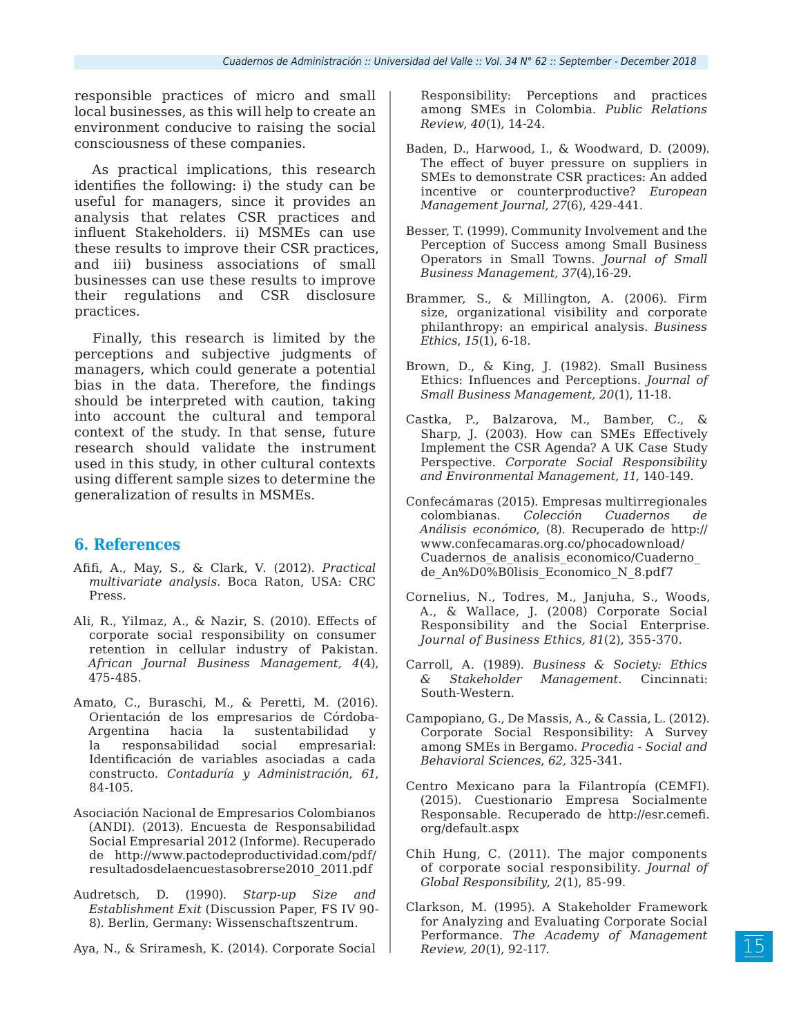responsible practices of micro and small local businesses, as this will help to create an environment conducive to raising the social consciousness of these companies.

As practical implications, this research identifies the following: i) the study can be useful for managers, since it provides an analysis that relates CSR practices and influent Stakeholders. ii) MSMEs can use these results to improve their CSR practices, and iii) business associations of small businesses can use these results to improve their regulations and CSR disclosure practices.

Finally, this research is limited by the perceptions and subjective judgments of managers, which could generate a potential bias in the data. Therefore, the findings should be interpreted with caution, taking into account the cultural and temporal context of the study. In that sense, future research should validate the instrument used in this study, in other cultural contexts using different sample sizes to determine the generalization of results in MSMEs.

## **6. References**

- Afifi, A., May, S., & Clark, V. (2012). *Practical multivariate analysis*. Boca Raton, USA: CRC Press.
- Ali, R., Yilmaz, A., & Nazir, S. (2010). Effects of corporate social responsibility on consumer retention in cellular industry of Pakistan. *African Journal Business Management, 4*(4), 475-485.
- Amato, C., Buraschi, M., & Peretti, M. (2016). Orientación de los empresarios de Córdoba-Argentina hacia la sustentabilidad la responsabilidad social empresarial: Identificación de variables asociadas a cada constructo. *Contaduría y Administración*, *61*, 84-105.
- Asociación Nacional de Empresarios Colombianos (ANDI). (2013). Encuesta de Responsabilidad Social Empresarial 2012 (Informe). Recuperado de http://www.pactodeproductividad.com/pdf/ resultadosdelaencuestasobrerse2010\_2011.pdf
- Audretsch, D. (1990). *Starp-up Size and Establishment Exit* (Discussion Paper, FS IV 90- 8). Berlin, Germany: Wissenschaftszentrum.

Aya, N., & Sriramesh, K. (2014). Corporate Social

Responsibility: Perceptions and practices among SMEs in Colombia. *Public Relations Review*, *40*(1), 14-24.

- Baden, D., Harwood, I., & Woodward, D. (2009). The effect of buyer pressure on suppliers in SMEs to demonstrate CSR practices: An added incentive or counterproductive? *European Management Journal, 27*(6), 429-441.
- Besser, T. (1999). Community Involvement and the Perception of Success among Small Business Operators in Small Towns. *Journal of Small Business Management, 37*(4),16-29.
- Brammer, S., & Millington, A. (2006). Firm size, organizational visibility and corporate philanthropy: an empirical analysis. *Business Ethics*, *15*(1), 6-18.
- Brown, D., & King, J. (1982). Small Business Ethics: Influences and Perceptions. *Journal of Small Business Management, 20*(1), 11-18.
- Castka, P., Balzarova, M., Bamber, C., & Sharp, J. (2003). How can SMEs Effectively Implement the CSR Agenda? A UK Case Study Perspective. *Corporate Social Responsibility and Environmental Management, 11,* 140-149.
- Confecámaras (2015). Empresas multirregionales colombianas. *Colección Cuadernos de Análisis económico*, (8). Recuperado de http:// www.confecamaras.org.co/phocadownload/ Cuadernos de analisis economico/Cuaderno de\_An%D0%B0lisis\_Economico\_N\_8.pdf7
- Cornelius, N., Todres, M., Janjuha, S., Woods, A., & Wallace, J. (2008) Corporate Social Responsibility and the Social Enterprise. *Journal of Business Ethics, 81*(2), 355-370.
- Carroll, A. (1989). *Business & Society: Ethics & Stakeholder Management.* Cincinnati: South-Western.
- Campopiano, G., De Massis, A., & Cassia, L. (2012). Corporate Social Responsibility: A Survey among SMEs in Bergamo. *Procedia - Social and Behavioral Sciences*, *62,* 325-341.
- Centro Mexicano para la Filantropía (CEMFI). (2015). Cuestionario Empresa Socialmente Responsable. Recuperado de http://esr.cemefi. org/default.aspx
- Chih Hung, C. (2011). The major components of corporate social responsibility. *Journal of Global Responsibility, 2*(1), 85-99.
- Clarkson, M. (1995). A Stakeholder Framework for Analyzing and Evaluating Corporate Social Performance. *The Academy of Management Review, 20*(1), 92-117.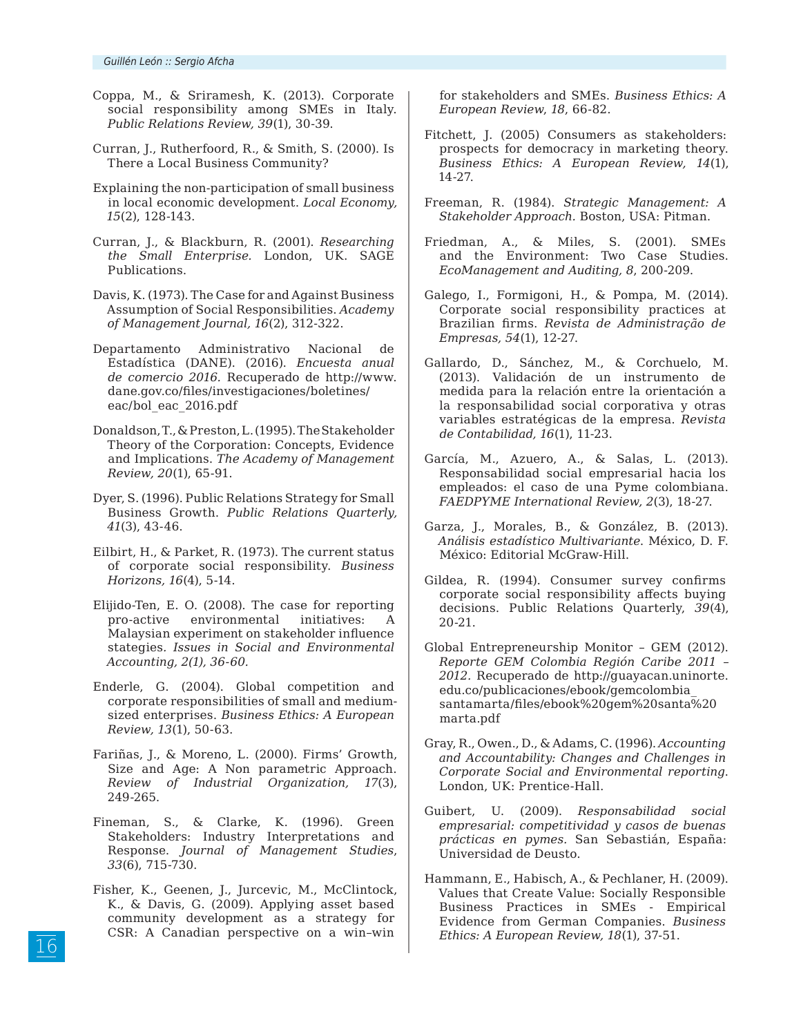- Coppa, M., & Sriramesh, K. (2013). Corporate social responsibility among SMEs in Italy. *Public Relations Review, 39*(1), 30-39.
- Curran, J., Rutherfoord, R., & Smith, S. (2000). Is There a Local Business Community?
- Explaining the non-participation of small business in local economic development. *Local Economy, 15*(2), 128-143.
- Curran, J., & Blackburn, R. (2001). *Researching the Small Enterprise.* London, UK. SAGE Publications.
- Davis, K. (1973). The Case for and Against Business Assumption of Social Responsibilities. *Academy of Management Journal, 16*(2), 312-322.
- Departamento Administrativo Nacional de Estadística (DANE). (2016). *Encuesta anual de comercio 2016.* Recuperado de http://www. dane.gov.co/files/investigaciones/boletines/ eac/bol\_eac\_2016.pdf
- Donaldson, T., & Preston, L. (1995). The Stakeholder Theory of the Corporation: Concepts, Evidence and Implications. *The Academy of Management Review, 20*(1), 65-91.
- Dyer, S. (1996). Public Relations Strategy for Small Business Growth. *Public Relations Quarterly, 41*(3), 43-46.
- Eilbirt, H., & Parket, R. (1973). The current status of corporate social responsibility. *Business Horizons, 16*(4), 5-14.
- Elijido-Ten, E. O. (2008). The case for reporting pro-active environmental initiatives: A Malaysian experiment on stakeholder influence stategies*. Issues in Social and Environmental Accounting, 2(1), 36-60.*
- Enderle, G. (2004). Global competition and corporate responsibilities of small and mediumsized enterprises. *Business Ethics: A European Review, 13*(1), 50-63.
- Fariñas, J., & Moreno, L. (2000). Firms' Growth, Size and Age: A Non parametric Approach. *Review of Industrial Organization, 17*(3), 249-265.
- Fineman, S., & Clarke, K. (1996). Green Stakeholders: Industry Interpretations and Response. *Journal of Management Studies*, *33*(6), 715-730.
- Fisher, K., Geenen, J., Jurcevic, M., McClintock, K., & Davis, G. (2009). Applying asset based community development as a strategy for CSR: A Canadian perspective on a win–win

for stakeholders and SMEs. *Business Ethics: A European Review*, *18*, 66-82.

- Fitchett, J. (2005) Consumers as stakeholders: prospects for democracy in marketing theory. *Business Ethics: A European Review, 14*(1), 14-27.
- Freeman, R. (1984). *Strategic Management: A Stakeholder Approach.* Boston, USA: Pitman.
- Friedman, A., & Miles, S. (2001). SMEs and the Environment: Two Case Studies. *EcoManagement and Auditing, 8*, 200-209.
- Galego, I., Formigoni, H., & Pompa, M. (2014). Corporate social responsibility practices at Brazilian firms. *Revista de Administração de Empresas, 54*(1), 12-27.
- Gallardo, D., Sánchez, M., & Corchuelo, M. (2013). Validación de un instrumento de medida para la relación entre la orientación a la responsabilidad social corporativa y otras variables estratégicas de la empresa. *Revista de Contabilidad, 16*(1), 11-23.
- García, M., Azuero, A., & Salas, L. (2013). Responsabilidad social empresarial hacia los empleados: el caso de una Pyme colombiana. *FAEDPYME International Review, 2*(3), 18-27.
- Garza, J., Morales, B., & González, B. (2013). *Análisis estadístico Multivariante*. México, D. F. México: Editorial McGraw-Hill.
- Gildea, R. (1994). Consumer survey confirms corporate social responsibility affects buying decisions. Public Relations Quarterly, *39*(4), 20-21.
- Global Entrepreneurship Monitor GEM (2012). *Reporte GEM Colombia Región Caribe 2011 – 2012.* Recuperado de http://guayacan.uninorte. edu.co/publicaciones/ebook/gemcolombia\_ santamarta/files/ebook%20gem%20santa%20 marta.pdf
- Gray, R., Owen., D., & Adams, C. (1996). *Accounting and Accountability: Changes and Challenges in Corporate Social and Environmental reporting*. London, UK: Prentice-Hall.
- Guibert, U. (2009). *Responsabilidad social empresarial: competitividad y casos de buenas prácticas en pymes.* San Sebastián, España: Universidad de Deusto.
- Hammann, E., Habisch, A., & Pechlaner, H. (2009). Values that Create Value: Socially Responsible Business Practices in SMEs - Empirical Evidence from German Companies. *Business Ethics: A European Review, 18*(1), 37-51.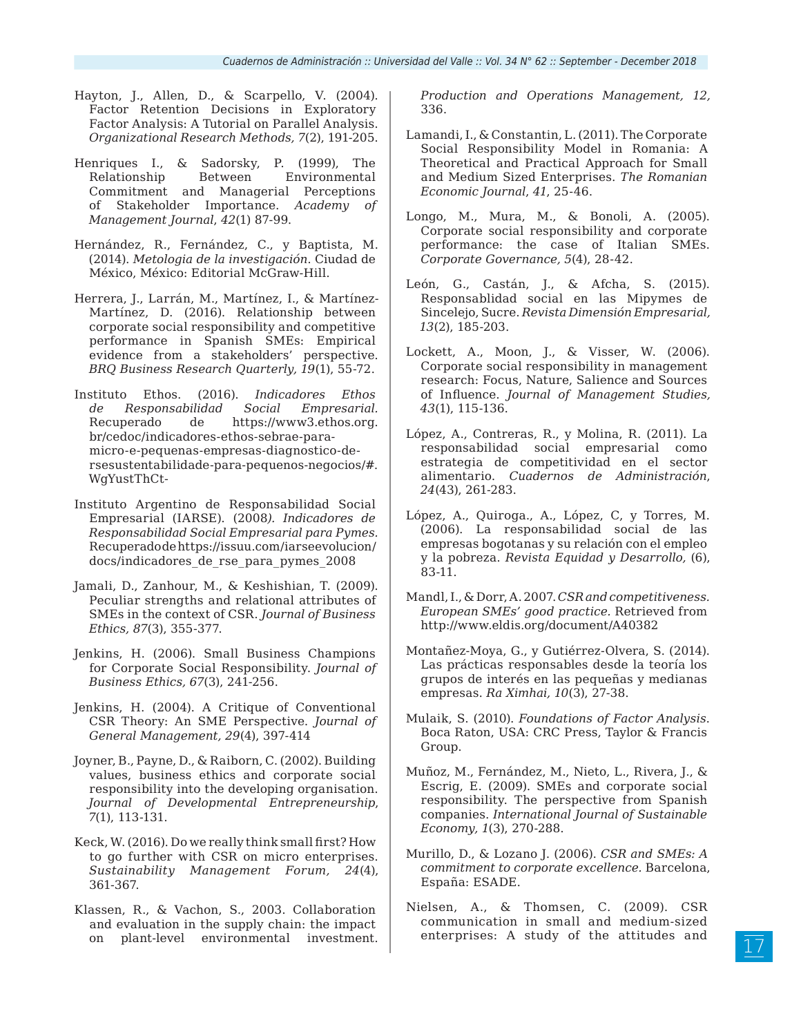- Hayton, J., Allen, D., & Scarpello, V. (2004). Factor Retention Decisions in Exploratory Factor Analysis: A Tutorial on Parallel Analysis. *Organizational Research Methods, 7*(2), 191-205.
- Henriques I., & Sadorsky, P. (1999), The Relationship Between Environmental Commitment and Managerial Perceptions of Stakeholder Importance. *Academy of Management Journal*, *42*(1) 87-99.
- Hernández, R., Fernández, C., y Baptista, M. (2014). *Metologia de la investigación*. Ciudad de México, México: Editorial McGraw-Hill.
- Herrera, J., Larrán, M., Martínez, I., & Martínez-Martínez, D. (2016). Relationship between corporate social responsibility and competitive performance in Spanish SMEs: Empirical evidence from a stakeholders' perspective. *BRQ Business Research Quarterly, 19*(1), 55-72.
- Instituto Ethos. (2016). *Indicadores Ethos de Responsabilidad Social Empresarial.* Recuperado de https://www3.ethos.org. br/cedoc/indicadores-ethos-sebrae-paramicro-e-pequenas-empresas-diagnostico-dersesustentabilidade-para-pequenos-negocios/#. WgYustThCt-
- Instituto Argentino de Responsabilidad Social Empresarial (IARSE). (2008*). Indicadores de Responsabilidad Social Empresarial para Pymes.* Recuperado de https://issuu.com/iarseevolucion/ docs/indicadores\_de\_rse\_para\_pymes\_2008
- Jamali, D., Zanhour, M., & Keshishian, T. (2009). Peculiar strengths and relational attributes of SMEs in the context of CSR. *Journal of Business Ethics, 87*(3), 355-377.
- Jenkins, H. (2006). Small Business Champions for Corporate Social Responsibility. *Journal of Business Ethics, 67*(3), 241-256.
- Jenkins, H. (2004). A Critique of Conventional CSR Theory: An SME Perspective. *Journal of General Management, 29*(4), 397-414
- Joyner, B., Payne, D., & Raiborn, C. (2002). Building values, business ethics and corporate social responsibility into the developing organisation. *Journal of Developmental Entrepreneurship*, *7*(1), 113-131.
- Keck, W. (2016). Do we really think small first? How to go further with CSR on micro enterprises. *Sustainability Management Forum, 24*(4), 361-367.
- Klassen, R., & Vachon, S., 2003. Collaboration and evaluation in the supply chain: the impact on plant-level environmental investment.

*Production and Operations Management, 12,* 336.

- Lamandi, I., & Constantin, L. (2011). The Corporate Social Responsibility Model in Romania: A Theoretical and Practical Approach for Small and Medium Sized Enterprises. *The Romanian Economic Journal*, *41*, 25-46.
- Longo, M., Mura, M., & Bonoli, A. (2005). Corporate social responsibility and corporate performance: the case of Italian SMEs. *Corporate Governance, 5*(4), 28-42.
- León, G., Castán, J., & Afcha, S. (2015). Responsablidad social en las Mipymes de Sincelejo, Sucre. *Revista Dimensión Empresarial, 13*(2), 185-203.
- Lockett, A., Moon, J., & Visser, W. (2006). Corporate social responsibility in management research: Focus, Nature, Salience and Sources of Influence. *Journal of Management Studies, 43*(1), 115-136.
- López, A., Contreras, R., y Molina, R. (2011). La responsabilidad social empresarial como estrategia de competitividad en el sector alimentario. *Cuadernos de Administración*, *24*(43), 261-283.
- López, A., Quiroga., A., López, C, y Torres, M. (2006). La responsabilidad social de las empresas bogotanas y su relación con el empleo y la pobreza. *Revista Equidad y Desarrollo,* (6), 83-11.
- Mandl, I., & Dorr, A. 2007. *CSR and competitiveness. European SMEs' good practice.* Retrieved from http://www.eldis.org/document/A40382
- Montañez-Moya, G., y Gutiérrez-Olvera, S. (2014). Las prácticas responsables desde la teoría los grupos de interés en las pequeñas y medianas empresas. *Ra Ximhai, 10*(3), 27-38.
- Mulaik, S. (2010). *Foundations of Factor Analysis*. Boca Raton, USA: CRC Press, Taylor & Francis Group.
- Muñoz, M., Fernández, M., Nieto, L., Rivera, J., & Escrig, E. (2009). SMEs and corporate social responsibility. The perspective from Spanish companies. *International Journal of Sustainable Economy, 1*(3), 270-288.
- Murillo, D., & Lozano J. (2006). *CSR and SMEs: A commitment to corporate excellence.* Barcelona, España: ESADE.
- Nielsen, A., & Thomsen, C. (2009). CSR communication in small and medium‐sized enterprises: A study of the attitudes and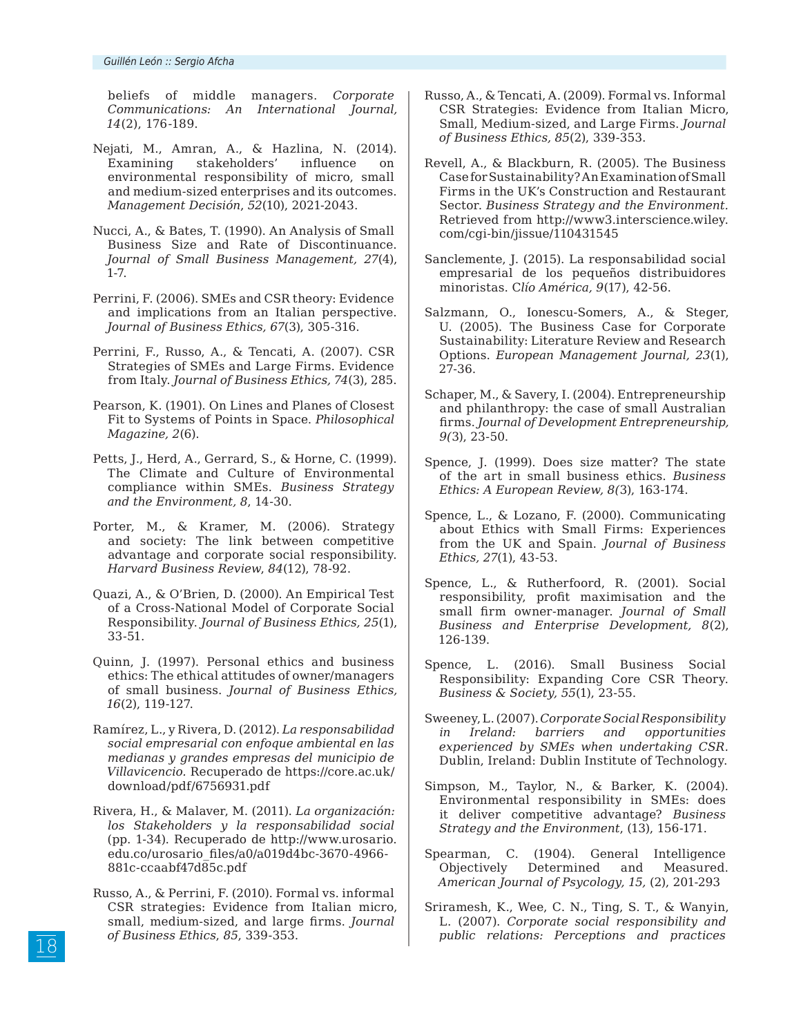beliefs of middle managers. *Corporate Communications: An International Journal, 14*(2), 176-189.

- Nejati, M., Amran, A., & Hazlina, N. (2014). Examining stakeholders' influence on environmental responsibility of micro, small and medium-sized enterprises and its outcomes. *Management Decisión*, *52*(10), 2021-2043.
- Nucci, A., & Bates, T. (1990). An Analysis of Small Business Size and Rate of Discontinuance. *Journal of Small Business Management, 27*(4), 1-7.
- Perrini, F. (2006). SMEs and CSR theory: Evidence and implications from an Italian perspective. *Journal of Business Ethics, 67*(3), 305-316.
- Perrini, F., Russo, A., & Tencati, A. (2007). CSR Strategies of SMEs and Large Firms. Evidence from Italy. *Journal of Business Ethics, 74*(3), 285.
- Pearson, K. (1901). On Lines and Planes of Closest Fit to Systems of Points in Space. *Philosophical Magazine, 2*(6).
- Petts, J., Herd, A., Gerrard, S., & Horne, C. (1999). The Climate and Culture of Environmental compliance within SMEs. *Business Strategy and the Environment, 8*, 14-30.
- Porter, M., & Kramer, M. (2006). Strategy and society: The link between competitive advantage and corporate social responsibility. *Harvard Business Review*, *84*(12), 78-92.
- Quazi, A., & O'Brien, D. (2000). An Empirical Test of a Cross-National Model of Corporate Social Responsibility. *Journal of Business Ethics, 25*(1), 33-51.
- Quinn, J. (1997). Personal ethics and business ethics: The ethical attitudes of owner/managers of small business. *Journal of Business Ethics, 16*(2), 119-127.
- Ramírez, L., y Rivera, D. (2012). *La responsabilidad social empresarial con enfoque ambiental en las medianas y grandes empresas del municipio de Villavicencio.* Recuperado de https://core.ac.uk/ download/pdf/6756931.pdf
- Rivera, H., & Malaver, M. (2011). *La organización: los Stakeholders y la responsabilidad social* (pp. 1-34). Recuperado de http://www.urosario. edu.co/urosario\_files/a0/a019d4bc-3670-4966- 881c-ccaabf47d85c.pdf
- Russo, A., & Perrini, F. (2010). Formal vs. informal CSR strategies: Evidence from Italian micro, small, medium-sized, and large firms. *Journal of Business Ethics*, *85*, 339-353.
- Russo, A., & Tencati, A. (2009). Formal vs. Informal CSR Strategies: Evidence from Italian Micro, Small, Medium-sized, and Large Firms. *Journal of Business Ethics, 85*(2), 339-353.
- Revell, A., & Blackburn, R. (2005). The Business Case for Sustainability? An Examination of Small Firms in the UK's Construction and Restaurant Sector. *Business Strategy and the Environment.*  Retrieved from http://www3.interscience.wiley. com/cgi-bin/jissue/110431545
- Sanclemente, J. (2015). La responsabilidad social empresarial de los pequeños distribuidores minoristas. C*lío América, 9*(17), 42-56.
- Salzmann, O., Ionescu-Somers, A., & Steger, U. (2005). The Business Case for Corporate Sustainability: Literature Review and Research Options. *European Management Journal, 23*(1), 27-36.
- Schaper, M., & Savery, I. (2004). Entrepreneurship and philanthropy: the case of small Australian firms. *Journal of Development Entrepreneurship, 9(*3), 23-50.
- Spence, J. (1999). Does size matter? The state of the art in small business ethics. *Business Ethics: A European Review, 8(*3), 163-174.
- Spence, L., & Lozano, F. (2000). Communicating about Ethics with Small Firms: Experiences from the UK and Spain. *Journal of Business Ethics, 27*(1), 43-53.
- Spence, L., & Rutherfoord, R. (2001). Social responsibility, profit maximisation and the small firm owner-manager. *Journal of Small Business and Enterprise Development, 8*(2), 126-139.
- Spence, L. (2016). Small Business Social Responsibility: Expanding Core CSR Theory. *Business & Society, 55*(1), 23-55.
- Sweeney, L. (2007). *Corporate Social Responsibility in Ireland: barriers and opportunities experienced by SMEs when undertaking CSR.* Dublin, Ireland: Dublin Institute of Technology.
- Simpson, M., Taylor, N., & Barker, K. (2004). Environmental responsibility in SMEs: does it deliver competitive advantage? *Business Strategy and the Environment*, (13), 156-171.
- Spearman, C. (1904). General Intelligence Objectively Determined and Measured. *American Journal of Psycology, 15,* (2), 201-293
- Sriramesh, K., Wee, C. N., Ting, S. T., & Wanyin, L. (2007). *Corporate social responsibility and public relations: Perceptions and practices*